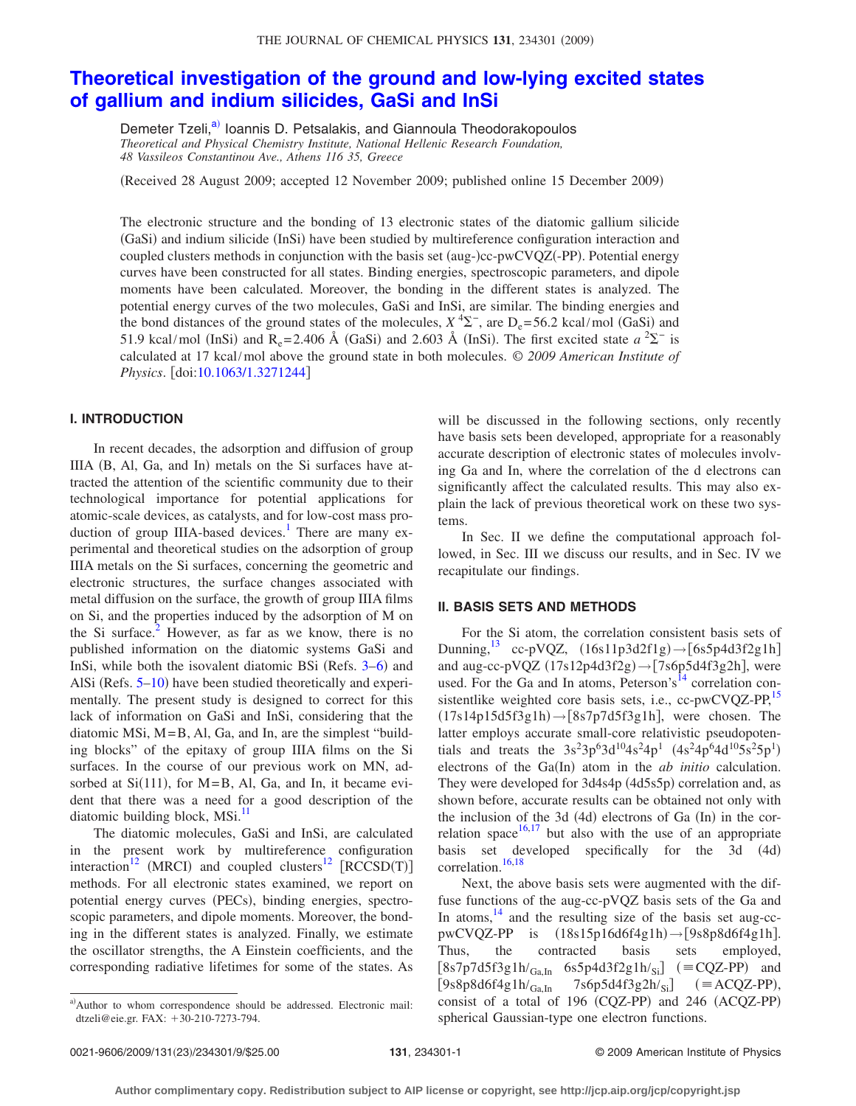# **[Theoretical investigation of the ground and low-lying excited states](http://dx.doi.org/10.1063/1.3271244) [of gallium and indium silicides, GaSi and InSi](http://dx.doi.org/10.1063/1.3271244)**

Demeter Tzeli,<sup>a)</sup> Ioannis D. Petsalakis, and Giannoula Theodorakopoulos *Theoretical and Physical Chemistry Institute, National Hellenic Research Foundation, 48 Vassileos Constantinou Ave., Athens 116 35, Greece*

(Received 28 August 2009; accepted 12 November 2009; published online 15 December 2009)

The electronic structure and the bonding of 13 electronic states of the diatomic gallium silicide (GaSi) and indium silicide (InSi) have been studied by multireference configuration interaction and coupled clusters methods in conjunction with the basis set (aug-)cc-pwCVQZ(-PP). Potential energy curves have been constructed for all states. Binding energies, spectroscopic parameters, and dipole moments have been calculated. Moreover, the bonding in the different states is analyzed. The potential energy curves of the two molecules, GaSi and InSi, are similar. The binding energies and the bond distances of the ground states of the molecules,  $X^4\Sigma^-$ , are  $D_e = 56.2$  kcal/mol (GaSi) and 51.9 kcal/mol (InSi) and R<sub>e</sub>=2.406 Å (GaSi) and 2.603 Å (InSi). The first excited state  $a^2\Sigma^-$  is calculated at 17 kcal/mol above the ground state in both molecules. © *2009 American Institute of Physics.* [doi[:10.1063/1.3271244](http://dx.doi.org/10.1063/1.3271244)]

#### **I. INTRODUCTION**

In recent decades, the adsorption and diffusion of group IIIA (B, Al, Ga, and In) metals on the Si surfaces have attracted the attention of the scientific community due to their technological importance for potential applications for atomic-scale devices, as catalysts, and for low-cost mass production of group IIIA-based devices.<sup>1</sup> There are many experimental and theoretical studies on the adsorption of group IIIA metals on the Si surfaces, concerning the geometric and electronic structures, the surface changes associated with metal diffusion on the surface, the growth of group IIIA films on Si, and the properties induced by the adsorption of M on the Si surface.<sup>2</sup> However, as far as we know, there is no published information on the diatomic systems GaSi and InSi, while both the isovalent diatomic BSi (Refs. 3-[6](#page-8-3)) and AlSi (Refs. 5-[10](#page-8-5)) have been studied theoretically and experimentally. The present study is designed to correct for this lack of information on GaSi and InSi, considering that the diatomic MSi, M=B, Al, Ga, and In, are the simplest "building blocks" of the epitaxy of group IIIA films on the Si surfaces. In the course of our previous work on MN, adsorbed at  $Si(111)$ , for M=B, Al, Ga, and In, it became evident that there was a need for a good description of the diatomic building block, MSi.<sup>11</sup>

The diatomic molecules, GaSi and InSi, are calculated in the present work by multireference configuration interaction<sup>12</sup> (MRCI) and coupled clusters<sup>12</sup> [RCCSD(T)] methods. For all electronic states examined, we report on potential energy curves (PECs), binding energies, spectroscopic parameters, and dipole moments. Moreover, the bonding in the different states is analyzed. Finally, we estimate the oscillator strengths, the A Einstein coefficients, and the corresponding radiative lifetimes for some of the states. As will be discussed in the following sections, only recently have basis sets been developed, appropriate for a reasonably accurate description of electronic states of molecules involving Ga and In, where the correlation of the d electrons can significantly affect the calculated results. This may also explain the lack of previous theoretical work on these two systems.

In Sec. II we define the computational approach followed, in Sec. III we discuss our results, and in Sec. IV we recapitulate our findings.

#### **II. BASIS SETS AND METHODS**

For the Si atom, the correlation consistent basis sets of Dunning,  $^{13}$  cc-pVQZ,  $(16s11p3d2f1g) \rightarrow [6s5p4d3f2g1h]$ and aug-cc-pVQZ  $(17s12p4d3f2g) \rightarrow [7s6p5d4f3g2h]$ , were used. For the Ga and In atoms, Peterson's<sup>14</sup> correlation consistentlike weighted core basis sets, i.e., cc-pwCVQZ-PP,<sup>15</sup>  $(17s14p15d5f3g1h) \rightarrow [8s7p7d5f3g1h]$ , were chosen. The latter employs accurate small-core relativistic pseudopotentials and treats the  $3s^23p^63d^{10}4s^24p^1$   $(4s^24p^64d^{10}5s^25p^1)$ electrons of the Ga(In) atom in the *ab initio* calculation. They were developed for 3d4s4p (4d5s5p) correlation and, as shown before, accurate results can be obtained not only with the inclusion of the 3d (4d) electrons of Ga (In) in the cor-relation space<sup>16,[17](#page-8-12)</sup> but also with the use of an appropriate basis set developed specifically for the 3d (4d) correlation.<sup>16[,18](#page-8-13)</sup>

Next, the above basis sets were augmented with the diffuse functions of the aug-cc-pVQZ basis sets of the Ga and In atoms,  $14$  and the resulting size of the basis set aug-cc $pwCVQZ-PP$  is  $(18s15p16d6f4g1h) \rightarrow [9s8p8d6f4g1h]$ . Thus, the contracted basis sets employed,  $[8s7p7d5f3g1h/\text{Ga},h$  6s5p4d3f2g1h/<sub>Si</sub>] (=CQZ-PP) and  $[9s8p8d6f4g1h/_{Ga,In}$  7s6p5d4f3g2h/<sub>Si</sub>]  $(=\text{ACQZ-PP}),$ consist of a total of  $196$  (CQZ-PP) and  $246$  (ACQZ-PP) spherical Gaussian-type one electron functions.

<span id="page-0-0"></span>a)Author to whom correspondence should be addressed. Electronic mail: dtzeli@eie.gr. FAX: +30-210-7273-794.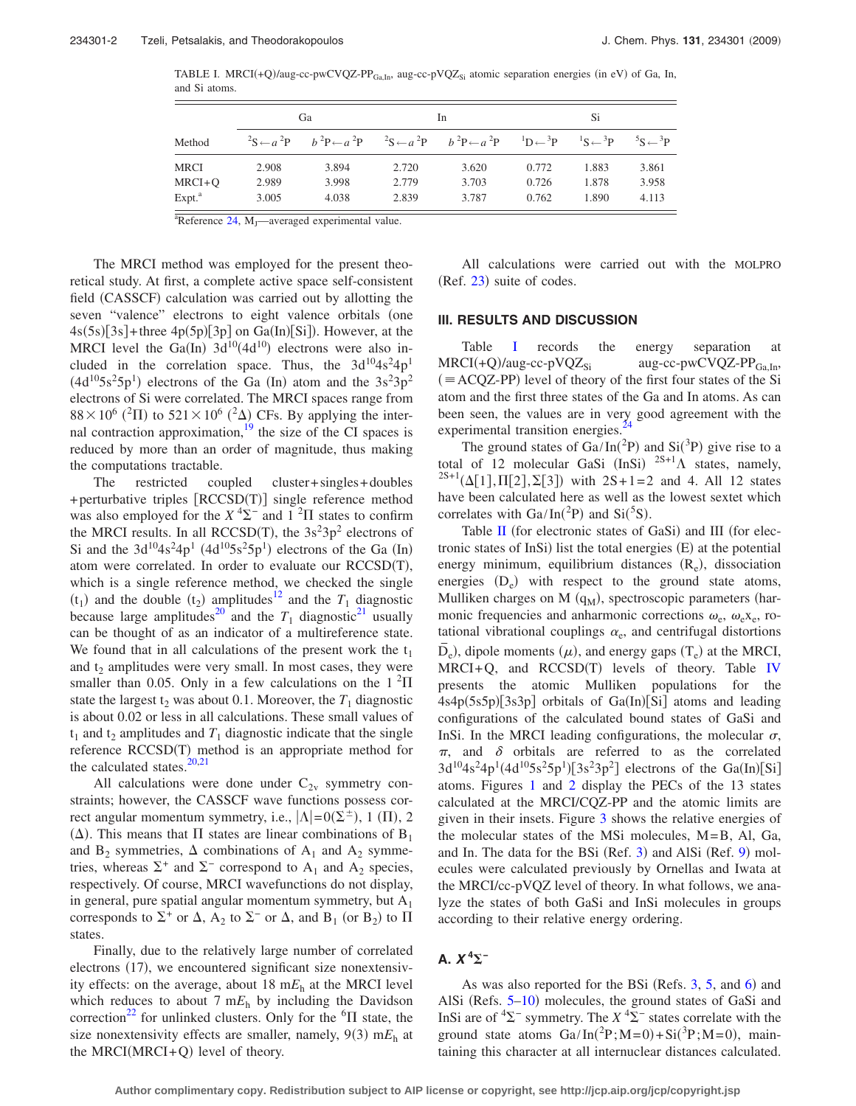<span id="page-1-0"></span>TABLE I. MRCI $(+Q)/\text{aug-cc-pwCVQZ-PP}_{Ga,In}$ , aug-cc-pVQZ<sub>Si</sub> atomic separation energies (in eV) of Ga, In, and Si atoms.

|                    |       | Ga    |       | In.                                                                                                                                                                                                                                                                                       | Si    |       |                    |  |
|--------------------|-------|-------|-------|-------------------------------------------------------------------------------------------------------------------------------------------------------------------------------------------------------------------------------------------------------------------------------------------|-------|-------|--------------------|--|
| Method             |       |       |       | ${}^{2}\text{S} \leftarrow a$ ${}^{2}\text{P}$ $b$ ${}^{2}\text{P} \leftarrow a$ ${}^{2}\text{P}$ ${}^{2}\text{S} \leftarrow a$ ${}^{2}\text{P}$ $b$ ${}^{2}\text{P} \leftarrow a$ ${}^{2}\text{P}$ ${}^{1}\text{D} \leftarrow {}^{3}\text{P}$ ${}^{1}\text{S} \leftarrow {}^{3}\text{P}$ |       |       | $5S \leftarrow 3P$ |  |
| <b>MRCI</b>        | 2.908 | 3.894 | 2.720 | 3.620                                                                                                                                                                                                                                                                                     | 0.772 | 1.883 | 3.861              |  |
| $MRCI + O$         | 2.989 | 3.998 | 2.779 | 3.703                                                                                                                                                                                                                                                                                     | 0.726 | 1.878 | 3.958              |  |
| Expt. <sup>a</sup> | 3.005 | 4.038 | 2.839 | 3.787                                                                                                                                                                                                                                                                                     | 0.762 | 1.890 | 4.113              |  |

 $a^2$ Reference [24,](#page-8-19) M<sub>J</sub>—averaged experimental value.

The MRCI method was employed for the present theoretical study. At first, a complete active space self-consistent field (CASSCF) calculation was carried out by allotting the seven "valence" electrons to eight valence orbitals (one  $4s(5s)[3s] +$  three  $4p(5p)[3p]$  on  $Ga(In)[Si]$ ). However, at the MRCI level the Ga(In)  $3d^{10}(4d^{10})$  electrons were also included in the correlation space. Thus, the  $3d^{10}4s^24p^1$  $(4d^{10}5s^25p^1)$  electrons of the Ga (In) atom and the  $3s^23p^2$ electrons of Si were correlated. The MRCI spaces range from  $88 \times 10^6$  (<sup>2</sup>II) to  $521 \times 10^6$  (<sup>2</sup> $\Delta$ ) CFs. By applying the internal contraction approximation, $19$  the size of the CI spaces is reduced by more than an order of magnitude, thus making the computations tractable.

The restricted coupled cluster+ singles+ doubles + perturbative triples [RCCSD(T)] single reference method was also employed for the  $X^{4}\Sigma^{-}$  and  $1^{2}\Pi$  states to confirm the MRCI results. In all RCCSD(T), the  $3s^23p^2$  electrons of Si and the  $3d^{10}4s^24p^1$  ( $4d^{10}5s^25p^1$ ) electrons of the Ga (In) atom were correlated. In order to evaluate our RCCSD(T), which is a single reference method, we checked the single  $(t_1)$  and the double  $(t_2)$  amplitudes<sup>12</sup> and the  $T_1$  diagnostic because large amplitudes<sup>20</sup> and the  $T_1$  diagnostic<sup>21</sup> usually can be thought of as an indicator of a multireference state. We found that in all calculations of the present work the  $t_1$ and  $t_2$  amplitudes were very small. In most cases, they were smaller than 0.05. Only in a few calculations on the  $1<sup>2</sup>\Pi$ state the largest  $t_2$  was about 0.1. Moreover, the  $T_1$  diagnostic is about 0.02 or less in all calculations. These small values of  $t_1$  and  $t_2$  amplitudes and  $T_1$  diagnostic indicate that the single reference RCCSD(T) method is an appropriate method for the calculated states. $<sup>2</sup>$ </sup>

All calculations were done under  $C_{2v}$  symmetry constraints; however, the CASSCF wave functions possess correct angular momentum symmetry, i.e.,  $|\Lambda| = O(\Sigma^{\pm})$ , 1 (II), 2 ( $\Delta$ ). This means that  $\Pi$  states are linear combinations of B<sub>1</sub> and  $B_2$  symmetries,  $\Delta$  combinations of  $A_1$  and  $A_2$  symmetries, whereas  $\Sigma^+$  and  $\Sigma^-$  correspond to  $A_1$  and  $A_2$  species, respectively. Of course, MRCI wavefunctions do not display, in general, pure spatial angular momentum symmetry, but  $A_1$ corresponds to  $\Sigma^+$  or  $\Delta$ ,  $A_2$  to  $\Sigma^-$  or  $\Delta$ , and  $B_1$  (or  $B_2$ ) to  $\Pi$ states.

Finally, due to the relatively large number of correlated electrons (17), we encountered significant size nonextensivity effects: on the average, about  $18 \text{ m}E_h$  at the MRCI level which reduces to about 7  $mE<sub>h</sub>$  by including the Davidson correction<sup>22</sup> for unlinked clusters. Only for the  ${}^{6}$  $\Pi$  state, the size nonextensivity effects are smaller, namely,  $9(3)$  m $E_h$  at the MRCI(MRCI+Q) level of theory.

All calculations were carried out with the MOLPRO (Ref. [23](#page-8-18)) suite of codes.

#### **III. RESULTS AND DISCUSSION**

Table [I](#page-1-0) records the energy separation at  $MRCI(+Q)/aug-cc-pVQZ_{Si}$ aug-cc-pwCVQZ- $PP_{GaIn}$ ,  $($  = ACQZ-PP) level of theory of the first four states of the Si atom and the first three states of the Ga and In atoms. As can been seen, the values are in very good agreement with the experimental transition energies.<sup>2</sup>

The ground states of  $Ga/In(^{2}P)$  and  $Si(^{3}P)$  give rise to a total of 12 molecular GaSi (InSi)  $2S+1\Lambda$  states, namely,  $^{2S+1}(\Delta[1], \Pi[2], \Sigma[3])$  with  $2S+1=2$  and 4. All 12 states have been calculated here as well as the lowest sextet which correlates with  $Ga/In(^{2}P)$  and  $Si(^{5}S)$ .

Table [II](#page-2-0) (for electronic states of GaSi) and III (for electronic states of InSi) list the total energies (E) at the potential energy minimum, equilibrium distances (Re), dissociation energies  $(D_e)$  with respect to the ground state atoms, Mulliken charges on  $M(q_M)$ , spectroscopic parameters (harmonic frequencies and anharmonic corrections  $\omega_{\rm e}$ ,  $\omega_{\rm e}$ <sub>x<sub>e</sub>, ro-</sub> tational vibrational couplings  $\alpha_e$ , and centrifugal distortions  $\overline{D}_e$ ), dipole moments ( $\mu$ ), and energy gaps ( $T_e$ ) at the MRCI,  $MRCI + Q$ , and  $RCCSD(T)$  levels of theory. Table [IV](#page-5-0) presents the atomic Mulliken populations for the 4s4p(5s5p)[3s3p] orbitals of Ga(In)[Si] atoms and leading configurations of the calculated bound states of GaSi and InSi. In the MRCI leading configurations, the molecular  $\sigma$ ,  $\pi$ , and  $\delta$  orbitals are referred to as the correlated  $3d^{10}4s^24p^1(4d^{10}5s^25p^1)[3s^23p^2]$  electrons of the Ga(In)[Si] atoms. Figures [1](#page-3-0) and [2](#page-3-1) display the PECs of the 13 states calculated at the MRCI/CQZ-PP and the atomic limits are given in their insets. Figure [3](#page-3-2) shows the relative energies of the molecular states of the MSi molecules, M=B, Al, Ga, and In. The data for the BSi (Ref. [3](#page-8-2)) and AlSi (Ref. [9](#page-8-20)) molecules were calculated previously by Ornellas and Iwata at the MRCI/cc-pVQZ level of theory. In what follows, we analyze the states of both GaSi and InSi molecules in groups according to their relative energy ordering.

### **A.** *X* **<sup>4</sup> −**

As was also reported for the BSi (Refs. [3,](#page-8-2) [5,](#page-8-4) and [6](#page-8-3)) and AlSi (Refs.  $5-10$  $5-10$ ) molecules, the ground states of GaSi and InSi are of  ${}^{4}\Sigma^{-}$  symmetry. The  $X \, {}^{4}\Sigma^{-}$  states correlate with the ground state atoms  $Ga/In(^{2}P; M=0) + Si(^{3}P; M=0)$ , maintaining this character at all internuclear distances calculated.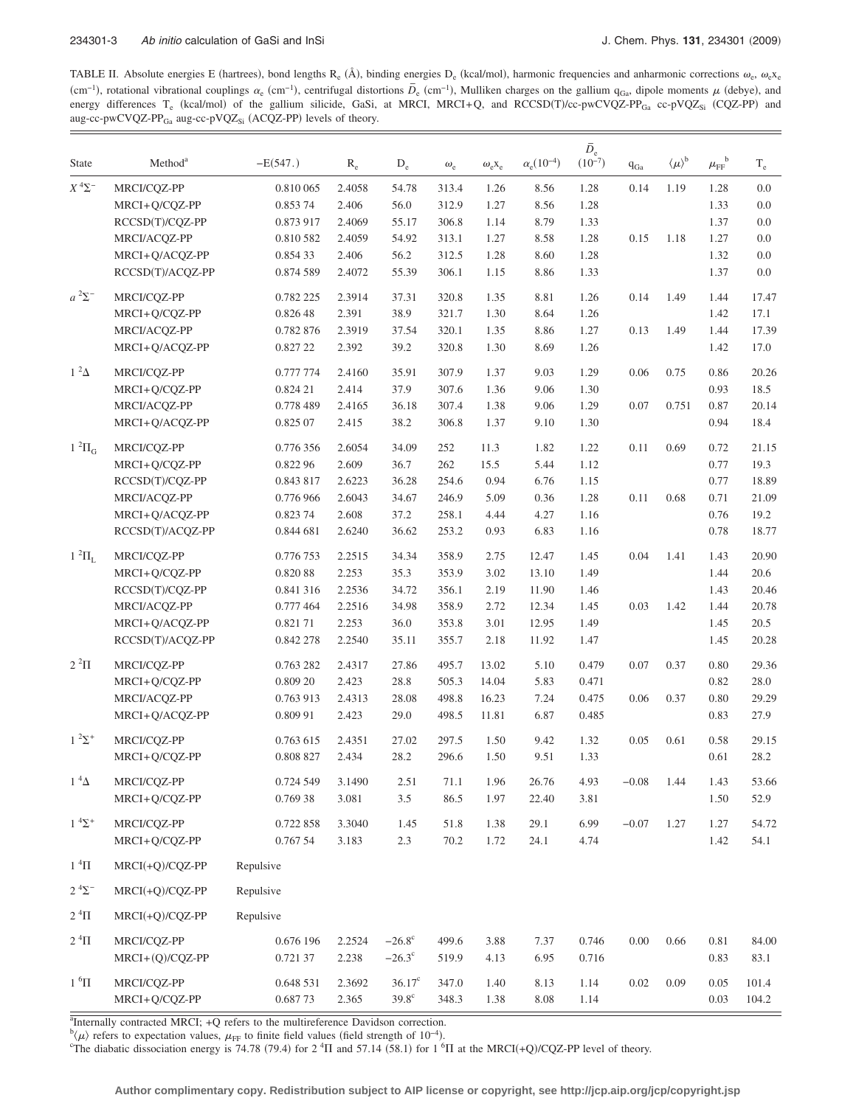<span id="page-2-0"></span>TABLE II. Absolute energies E (hartrees), bond lengths R<sub>e</sub> (Å), binding energies D<sub>e</sub> (kcal/mol), harmonic frequencies and anharmonic corrections  $\omega_c$ ,  $\omega_c x_e$ cm<sup>-1</sup>), rotational vibrational couplings  $\alpha_e$  (cm<sup>-1</sup>), centrifugal distortions  $\overline{D}_e$  (cm<sup>-1</sup>), Mulliken charges on the gallium q<sub>Ga</sub>, dipole moments  $\mu$  (debye), and  $(\text{c} \to \text{c} \to \text{c} \to \text{c} \to \text{c} \to \text{c} \to \text{c$ energy differences  $T_e$  (kcal/mol) of the gallium silicide, GaSi, at MRCI, MRCI+Q, and RCCSD(T)/cc-pwCVQZ-PP<sub>Ga</sub> cc-pVQZ<sub>Si</sub> (CQZ-PP) and aug-cc-pwCVQZ-PP<sub>Ga</sub> aug-cc-pVQZ<sub>Si</sub> (ACQZ-PP) levels of theory.

| <b>State</b>          | Method <sup>a</sup> | $-E(547.)$ | $\rm R_e$ | $\mathbf{D}_{\rm e}$ | $\omega_{\rm e}$ | $\omega_{\rm e}$ X <sub>e</sub> | $\alpha_{\rm e}(10^{-4})$ | $\bar{D}_{\rm e}$<br>$(10^{-7})$ | $q_{Ga}$ | $\langle \mu \rangle^{\rm b}$ | $\mu_{\text{FF}}^{\phantom{\text{b}}\text{b}}$ | $\rm T_e$ |
|-----------------------|---------------------|------------|-----------|----------------------|------------------|---------------------------------|---------------------------|----------------------------------|----------|-------------------------------|------------------------------------------------|-----------|
| $X^{4}\Sigma^{-}$     | MRCI/CQZ-PP         | 0.810 065  | 2.4058    | 54.78                | 313.4            | 1.26                            | 8.56                      | 1.28                             | 0.14     | 1.19                          | 1.28                                           | 0.0       |
|                       | MRCI+Q/CQZ-PP       | 0.853 74   | 2.406     | 56.0                 | 312.9            | 1.27                            | 8.56                      | 1.28                             |          |                               | 1.33                                           | $0.0\,$   |
|                       | RCCSD(T)/CQZ-PP     | 0.873 917  | 2.4069    | 55.17                | 306.8            | 1.14                            | 8.79                      | 1.33                             |          |                               | 1.37                                           | 0.0       |
|                       | MRCI/ACQZ-PP        | 0.810 582  | 2.4059    | 54.92                | 313.1            | 1.27                            | 8.58                      | 1.28                             | 0.15     | 1.18                          | 1.27                                           | $0.0\,$   |
|                       | MRCI+Q/ACQZ-PP      | 0.854 33   | 2.406     | 56.2                 | 312.5            | 1.28                            | 8.60                      | 1.28                             |          |                               | 1.32                                           | $0.0\,$   |
|                       | RCCSD(T)/ACQZ-PP    | 0.874 589  | 2.4072    | 55.39                | 306.1            | 1.15                            | 8.86                      | 1.33                             |          |                               | 1.37                                           | $0.0\,$   |
| $a^2\Sigma^-$         | MRCI/CQZ-PP         | 0.782 225  | 2.3914    | 37.31                | 320.8            | 1.35                            | 8.81                      | 1.26                             | 0.14     | 1.49                          | 1.44                                           | 17.47     |
|                       | MRCI+Q/CQZ-PP       | 0.826 48   | 2.391     | 38.9                 | 321.7            | 1.30                            | 8.64                      | 1.26                             |          |                               | 1.42                                           | 17.1      |
|                       | MRCI/ACQZ-PP        | 0.782 876  | 2.3919    | 37.54                | 320.1            | 1.35                            | 8.86                      | 1.27                             | 0.13     | 1.49                          | 1.44                                           | 17.39     |
|                       | MRCI+Q/ACQZ-PP      | 0.827 22   | 2.392     | 39.2                 | 320.8            | 1.30                            | 8.69                      | 1.26                             |          |                               | 1.42                                           | 17.0      |
| $1^2\Delta$           | MRCI/CQZ-PP         | 0.777 774  | 2.4160    | 35.91                | 307.9            | 1.37                            | 9.03                      | 1.29                             | 0.06     | 0.75                          | 0.86                                           | 20.26     |
|                       | MRCI+Q/CQZ-PP       | 0.824 21   | 2.414     | 37.9                 | 307.6            | 1.36                            | 9.06                      | 1.30                             |          |                               | 0.93                                           | 18.5      |
|                       | MRCI/ACQZ-PP        | 0.778 489  | 2.4165    | 36.18                | 307.4            | 1.38                            | 9.06                      | 1.29                             | 0.07     | 0.751                         | 0.87                                           | 20.14     |
|                       | MRCI+O/ACOZ-PP      | 0.825 07   | 2.415     | 38.2                 | 306.8            | 1.37                            | 9.10                      | 1.30                             |          |                               | 0.94                                           | 18.4      |
| $1^2\Pi$ <sub>G</sub> | MRCI/COZ-PP         | 0.776 356  | 2.6054    | 34.09                | 252              | 11.3                            | 1.82                      | 1.22                             | 0.11     | 0.69                          | 0.72                                           | 21.15     |
|                       | MRCI+Q/CQZ-PP       | 0.822 96   | 2.609     | 36.7                 | 262              | 15.5                            | 5.44                      | 1.12                             |          |                               | 0.77                                           | 19.3      |
|                       | RCCSD(T)/COZ-PP     | 0.843 817  | 2.6223    | 36.28                | 254.6            | 0.94                            | 6.76                      | 1.15                             |          |                               | 0.77                                           | 18.89     |
|                       | MRCI/ACQZ-PP        | 0.776 966  | 2.6043    | 34.67                | 246.9            | 5.09                            | 0.36                      | 1.28                             | 0.11     | 0.68                          | 0.71                                           | 21.09     |
|                       | MRCI+Q/ACQZ-PP      | 0.823 74   | 2.608     | 37.2                 | 258.1            | 4.44                            | 4.27                      | 1.16                             |          |                               | 0.76                                           | 19.2      |
|                       | RCCSD(T)/ACQZ-PP    | 0.844 681  | 2.6240    | 36.62                | 253.2            | 0.93                            | 6.83                      | 1.16                             |          |                               | 0.78                                           | 18.77     |
| $1~^2\Pi_{\rm L}$     | MRCI/CQZ-PP         | 0.776 753  | 2.2515    | 34.34                | 358.9            | 2.75                            | 12.47                     | 1.45                             | 0.04     | 1.41                          | 1.43                                           | 20.90     |
|                       | MRCI+Q/CQZ-PP       | 0.82088    | 2.253     | 35.3                 | 353.9            | 3.02                            | 13.10                     | 1.49                             |          |                               | 1.44                                           | 20.6      |
|                       | RCCSD(T)/CQZ-PP     | 0.841 316  | 2.2536    | 34.72                | 356.1            | 2.19                            | 11.90                     | 1.46                             |          |                               | 1.43                                           | 20.46     |
|                       | MRCI/ACQZ-PP        | 0.777 464  | 2.2516    | 34.98                | 358.9            | 2.72                            | 12.34                     | 1.45                             | 0.03     | 1.42                          | 1.44                                           | 20.78     |
|                       | MRCI+Q/ACQZ-PP      | 0.82171    | 2.253     | 36.0                 | 353.8            | 3.01                            | 12.95                     | 1.49                             |          |                               | 1.45                                           | 20.5      |
|                       | RCCSD(T)/ACQZ-PP    | 0.842 278  | 2.2540    | 35.11                | 355.7            | 2.18                            | 11.92                     | 1.47                             |          |                               | 1.45                                           | 20.28     |
| $2^2\Pi$              | MRCI/CQZ-PP         | 0.763 282  | 2.4317    | 27.86                | 495.7            | 13.02                           | 5.10                      | 0.479                            | 0.07     | 0.37                          | 0.80                                           | 29.36     |
|                       | MRCI+Q/CQZ-PP       | 0.809 20   | 2.423     | 28.8                 | 505.3            | 14.04                           | 5.83                      | 0.471                            |          |                               | 0.82                                           | 28.0      |
|                       | MRCI/ACQZ-PP        | 0.763 913  | 2.4313    | 28.08                | 498.8            | 16.23                           | 7.24                      | 0.475                            | 0.06     | 0.37                          | 0.80                                           | 29.29     |
|                       | MRCI+Q/ACQZ-PP      | 0.809 91   | 2.423     | 29.0                 | 498.5            | 11.81                           | 6.87                      | 0.485                            |          |                               | 0.83                                           | 27.9      |
| $1^{2}\Sigma^{+}$     | MRCI/CQZ-PP         | 0.763 615  | 2.4351    | 27.02                | 297.5            | 1.50                            | 9.42                      | 1.32                             | 0.05     | 0.61                          | 0.58                                           | 29.15     |
|                       | MRCI+Q/CQZ-PP       | 0.808 827  | 2.434     | 28.2                 | 296.6            | 1.50                            | 9.51                      | 1.33                             |          |                               | 0.61                                           | 28.2      |
| $1~^4\Delta$          | MRCI/CQZ-PP         | 0.724 549  | 3.1490    | 2.51                 | 71.1             | 1.96                            | 26.76                     | 4.93                             | $-0.08$  | 1.44                          | 1.43                                           | 53.66     |
|                       | MRCI+Q/CQZ-PP       | 0.76938    | 3.081     | $3.5\,$              | 86.5             | 1.97                            | 22.40                     | 3.81                             |          |                               | 1.50                                           | 52.9      |
| $1 \, {}^4\Sigma^+$   | MRCI/CQZ-PP         | 0.722 858  | 3.3040    | 1.45                 | 51.8             | 1.38                            | 29.1                      | 6.99                             | $-0.07$  | 1.27                          | 1.27                                           | 54.72     |
|                       | MRCI+Q/CQZ-PP       | 0.767 54   | 3.183     | 2.3                  | 70.2             | 1.72                            | 24.1                      | 4.74                             |          |                               | 1.42                                           | 54.1      |
| $1~^4\Pi$             | MRCI(+Q)/CQZ-PP     | Repulsive  |           |                      |                  |                                 |                           |                                  |          |                               |                                                |           |
| $2~^4\Sigma^-$        | $MRCI(+O)/COZ-PP$   | Repulsive  |           |                      |                  |                                 |                           |                                  |          |                               |                                                |           |
| $2~^4\Pi$             | $MRCI(+Q)/CQZ-PP$   | Repulsive  |           |                      |                  |                                 |                           |                                  |          |                               |                                                |           |
| $2~^4\Pi$             | MRCI/CQZ-PP         | 0.676 196  | 2.2524    | $-26.8^{\circ}$      | 499.6            | 3.88                            | 7.37                      | 0.746                            | 0.00     | 0.66                          | 0.81                                           | 84.00     |
|                       | $MRCI+(Q)/CQZ-PP$   | 0.721 37   | 2.238     | $-26.3^{\circ}$      | 519.9            | 4.13                            | 6.95                      | 0.716                            |          |                               | 0.83                                           | 83.1      |
| $1~^6\Pi$             | MRCI/CQZ-PP         | 0.648 531  | 2.3692    | $36.17^c$            | 347.0            | 1.40                            | 8.13                      | 1.14                             | 0.02     | 0.09                          | 0.05                                           | 101.4     |
|                       | MRCI+Q/CQZ-PP       | 0.68773    | 2.365     | $39.8^\circ$         | 348.3            | 1.38                            | $8.08\,$                  | 1.14                             |          |                               | 0.03                                           | 104.2     |

<sup>a</sup>Internally contracted MRCI; +Q refers to the multireference Davidson correction.

 $b(\mu)$  refers to expectation values,  $\mu_{FF}$  to finite field values (field strength of 10<sup>-4</sup>).<br><sup>C</sup>The dishetic dissociation operating 74.78.(70.4) for 2.<sup>4</sup>H and 57.14.(58.1) for 1.<sup>6</sup>

The diabatic dissociation energy is 74.78 (79.4) for  $2 \text{ }^4\Pi$  and 57.14 (58.1) for  $1 \text{ }^6\Pi$  at the MRCI(+Q)/CQZ-PP level of theory.

**Author complimentary copy. Redistribution subject to AIP license or copyright, see http://jcp.aip.org/jcp/copyright.jsp**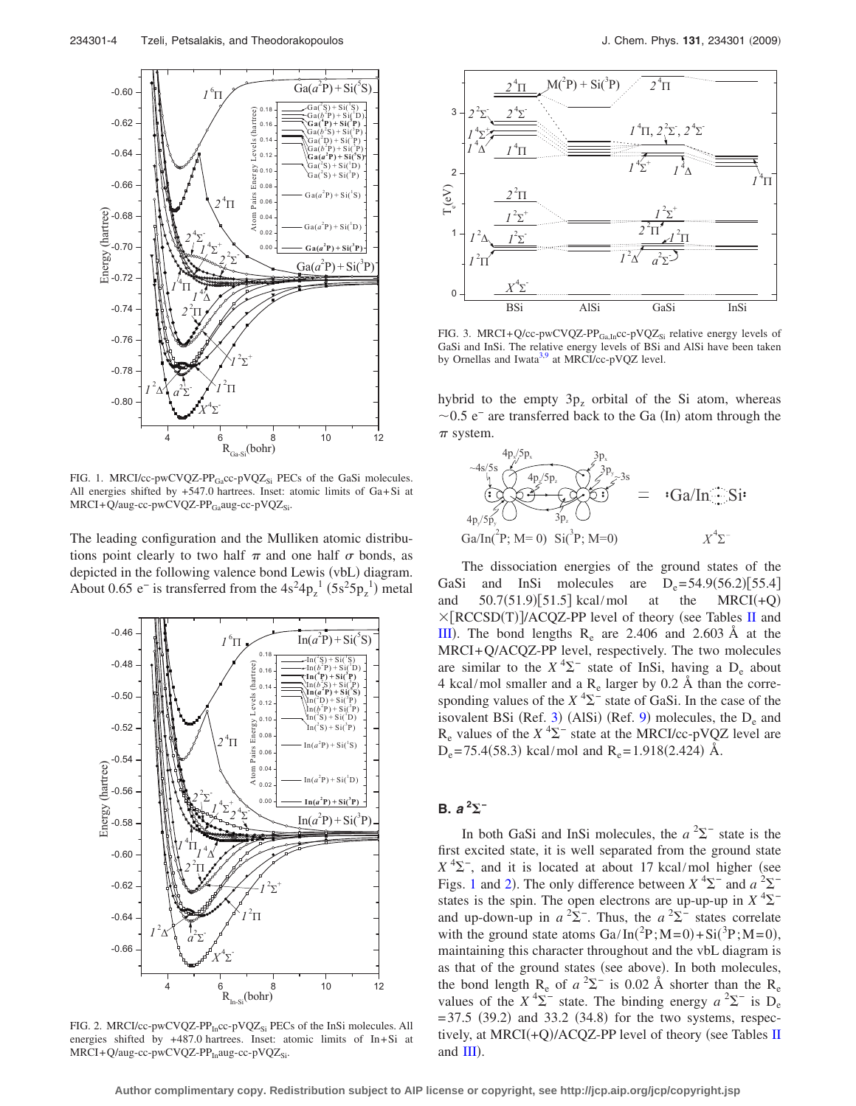<span id="page-3-0"></span>

FIG. 1. MRCI/cc-pwCVQZ-PP $_{Ga}$ cc-pVQZ<sub>Si</sub> PECs of the GaSi molecules. All energies shifted by +547.0 hartrees. Inset: atomic limits of Ga+Si at  $MRCI+\bar{Q}/aug-cc-pwCVQZ-PP_{Ga}aug-cc-pVQZ_{Si}$ .

The leading configuration and the Mulliken atomic distributions point clearly to two half  $\pi$  and one half  $\sigma$  bonds, as depicted in the following valence bond Lewis (vbL) diagram. About 0.65 e<sup>-</sup> is transferred from the  $4s^24p_z^1$  (5s<sup>2</sup>5 $p_z^1$ ) metal

<span id="page-3-1"></span>

FIG. 2. MRCI/cc-pwCVQZ-PP<sub>In</sub>cc-pVQZ<sub>Si</sub> PECs of the InSi molecules. All energies shifted by +487.0 hartrees. Inset: atomic limits of In+Si at  $MRCI+Q/aug-cc-pwCVQZ-PP<sub>In</sub>aug-cc-pVQZ<sub>Si</sub>.$ 

<span id="page-3-2"></span>

FIG. 3. MRCI+Q/cc-pwCVQZ-PP<sub>Ga,In</sub>cc-pVQZ<sub>Si</sub> relative energy levels of GaSi and InSi. The relative energy levels of BSi and AlSi have been taken by Ornellas and Iwata<sup>3[,9](#page-8-20)</sup> at MRCI/cc-pVQZ level.

hybrid to the empty  $3p<sub>z</sub>$  orbital of the Si atom, whereas  $\sim$ 0.5 e<sup>-</sup> are transferred back to the Ga (In) atom through the  $\pi$  system.



The dissociation energies of the ground states of the GaSi and InSi molecules are  $D_e = 54.9(56.2)[55.4]$ and  $50.7(51.9)[51.5]$  kcal/mol at the MRCI(+Q)  $MRCI(+Q)$  $\times$ [RCCSD(T)]/ACQZ-PP level of theory (see Tables [II](#page-2-0) and [III](#page-4-0)). The bond lengths  $R_e$  are 2.406 and 2.603 Å at the MRCI+Q/ACQZ-PP level, respectively. The two molecules are similar to the  $X^4\Sigma^-$  state of InSi, having a  $D_e$  about 4 kcal/mol smaller and a  $R_e$  larger by 0.2 Å than the corresponding values of the  $X^4\Sigma^-$  state of GaSi. In the case of the isovalent BSi (Ref. [3](#page-8-2)) (AlSi) (Ref. [9](#page-8-20)) molecules, the  $D_e$  and  $R_e$  values of the  $X^4\Sigma^-$  state at the MRCI/cc-pVQZ level are  $D_e$ = 75.4(58.3) kcal/mol and  $R_e$ = 1.918(2.424) Å.

# **B.** *a* **<sup>2</sup> −**

In both GaSi and InSi molecules, the  $a^2\Sigma^-$  state is the first excited state, it is well separated from the ground state  $X<sup>4</sup>\Sigma$ <sup>-</sup>, and it is located at about 17 kcal/mol higher (see Figs. [1](#page-3-0) and [2](#page-3-1)). The only difference between  $X^4\Sigma^-$  and  $a^2\Sigma^$ states is the spin. The open electrons are up-up-up in  $X^4\Sigma^$ and up-down-up in  $a^2\Sigma^-$ . Thus, the  $a^2\Sigma^-$  states correlate with the ground state atoms  $Ga/In(^{2}P; M=0) + Si(^{3}P; M=0)$ , maintaining this character throughout and the vbL diagram is as that of the ground states (see above). In both molecules, the bond length  $R_e$  of  $a^2\Sigma^-$  is 0.02 Å shorter than the  $R_e$ values of the  $X^4\Sigma^-$  state. The binding energy  $a^2\Sigma^-$  is  $D_e$  $= 37.5$  (39.2) and 33.2 (34.8) for the two systems, respec-tively, at MRCI(+Q)/ACQZ-PP level of theory (see Tables [II](#page-2-0) and  $III$ ).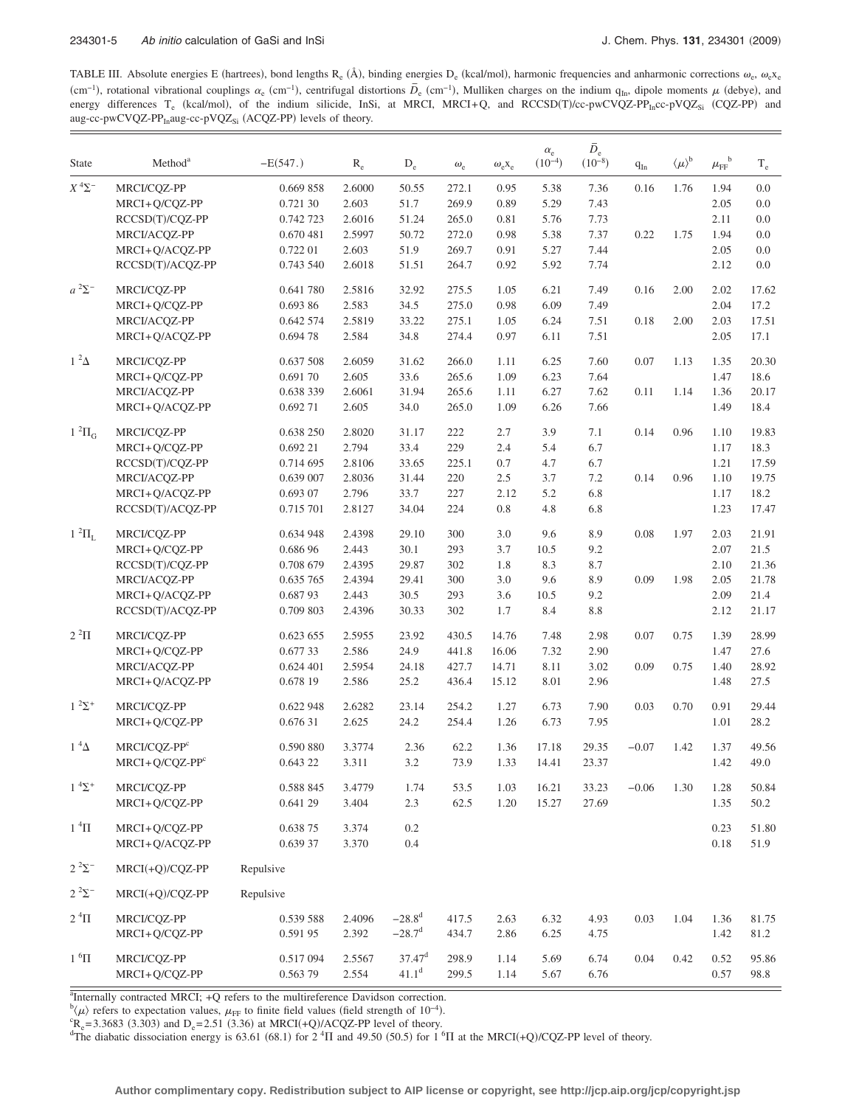<span id="page-4-0"></span>TABLE III. Absolute energies E (hartrees), bond lengths  $R_e$  (Å), binding energies  $D_e$  (kcal/mol), harmonic frequencies and anharmonic corrections  $\omega_e$ ,  $\omega_e x_e$ cm−1, rotational vibrational couplings  $\alpha_e$  (cm<sup>-1</sup>), centrifugal distortions  $\overline{D}_e$  (cm<sup>-1</sup>), Mulliken charges on the indium q<sub>In</sub>, dipole moments  $\mu$  (debye), and  $(\text{c}m^{-1})$ , rotational vibrational couplings  $\alpha_e$ energy differences T<sub>e</sub> (kcal/mol), of the indium silicide, InSi, at MRCI, MRCI+Q, and RCCSD(T)/cc-pwCVQZ-PP<sub>In</sub>cc-pVQZ<sub>Si</sub> (CQZ-PP) and aug-cc-pwCVQZ-PP<sub>In</sub>aug-cc-pVQZ<sub>Si</sub> (ACQZ-PP) levels of theory.

| <b>State</b>            | Method <sup>a</sup>      | $-E(547.)$ | $\rm R_e$ | $D_e$                | $\omega_{\rm e}$ | $\omega_{\rm e}$ X <sub>e</sub> | $\alpha_{\rm e}$<br>$(10^{-4})$ | $\bar{D}_{\rm e}$<br>$(10^{-8})$ | $q_{In}$ | $\langle \mu \rangle^{\mathrm{b}}$ | $\mu_{\text{FF}}^{\phantom{\text{b}}\text{b}}$ | $\rm T_e$ |
|-------------------------|--------------------------|------------|-----------|----------------------|------------------|---------------------------------|---------------------------------|----------------------------------|----------|------------------------------------|------------------------------------------------|-----------|
| $X^{4}\Sigma^{-}$       | MRCI/CQZ-PP              | 0.669 858  | 2.6000    | 50.55                | 272.1            | 0.95                            | 5.38                            | 7.36                             | 0.16     | 1.76                               | 1.94                                           | 0.0       |
|                         | MRCI+Q/CQZ-PP            | 0.721 30   | 2.603     | 51.7                 | 269.9            | 0.89                            | 5.29                            | 7.43                             |          |                                    | 2.05                                           | 0.0       |
|                         | RCCSD(T)/COZ-PP          | 0.742 723  | 2.6016    | 51.24                | 265.0            | 0.81                            | 5.76                            | 7.73                             |          |                                    | 2.11                                           | 0.0       |
|                         | MRCI/ACQZ-PP             | 0.670 481  | 2.5997    | 50.72                | 272.0            | 0.98                            | 5.38                            | 7.37                             | 0.22     | 1.75                               | 1.94                                           | 0.0       |
|                         | MRCI+Q/ACQZ-PP           | 0.722 01   | 2.603     | 51.9                 | 269.7            | 0.91                            | 5.27                            | 7.44                             |          |                                    | 2.05                                           | 0.0       |
|                         | RCCSD(T)/ACQZ-PP         | 0.743 540  | 2.6018    | 51.51                | 264.7            | 0.92                            | 5.92                            | 7.74                             |          |                                    | 2.12                                           | 0.0       |
| $a^2\Sigma^-$           | MRCI/CQZ-PP              | 0.641 780  | 2.5816    | 32.92                | 275.5            | 1.05                            | 6.21                            | 7.49                             | 0.16     | 2.00                               | 2.02                                           | 17.62     |
|                         | MRCI+Q/CQZ-PP            | 0.693 86   | 2.583     | 34.5                 | 275.0            | 0.98                            | 6.09                            | 7.49                             |          |                                    | 2.04                                           | 17.2      |
|                         | MRCI/ACQZ-PP             | 0.642 574  | 2.5819    | 33.22                | 275.1            | 1.05                            | 6.24                            | 7.51                             | 0.18     | 2.00                               | 2.03                                           | 17.51     |
|                         | MRCI+Q/ACQZ-PP           | 0.694 78   | 2.584     | 34.8                 | 274.4            | 0.97                            | 6.11                            | 7.51                             |          |                                    | 2.05                                           | 17.1      |
| $1^2\Delta$             | MRCI/CQZ-PP              | 0.637 508  | 2.6059    | 31.62                | 266.0            | 1.11                            | 6.25                            | 7.60                             | 0.07     | 1.13                               | 1.35                                           | 20.30     |
|                         | MRCI+Q/CQZ-PP            | 0.691 70   | 2.605     | 33.6                 | 265.6            | 1.09                            | 6.23                            | 7.64                             |          |                                    | 1.47                                           | 18.6      |
|                         | MRCI/ACQZ-PP             | 0.638 339  | 2.6061    | 31.94                | 265.6            | 1.11                            | 6.27                            | 7.62                             | 0.11     | 1.14                               | 1.36                                           | 20.17     |
|                         | MRCI+Q/ACQZ-PP           | 0.692 71   | 2.605     | 34.0                 | 265.0            | 1.09                            | 6.26                            | 7.66                             |          |                                    | 1.49                                           | 18.4      |
| $1^2\Pi$ <sub>G</sub>   | MRCI/CQZ-PP              | 0.638 250  | 2.8020    | 31.17                | 222              | 2.7                             | 3.9                             | 7.1                              | 0.14     | 0.96                               | 1.10                                           | 19.83     |
|                         | MRCI+Q/CQZ-PP            | 0.692 21   | 2.794     | 33.4                 | 229              | 2.4                             | 5.4                             | 6.7                              |          |                                    | 1.17                                           | 18.3      |
|                         | RCCSD(T)/CQZ-PP          | 0.714 695  | 2.8106    | 33.65                | 225.1            | 0.7                             | 4.7                             | 6.7                              |          |                                    | 1.21                                           | 17.59     |
|                         | MRCI/ACQZ-PP             | 0.639 007  | 2.8036    | 31.44                | 220              | 2.5                             | 3.7                             | 7.2                              | 0.14     | 0.96                               | 1.10                                           | 19.75     |
|                         | MRCI+Q/ACQZ-PP           | 0.693 07   | 2.796     | 33.7                 | 227              | 2.12                            | 5.2                             | 6.8                              |          |                                    | 1.17                                           | 18.2      |
|                         | RCCSD(T)/ACQZ-PP         | 0.715 701  | 2.8127    | 34.04                | 224              | 0.8                             | 4.8                             | 6.8                              |          |                                    | 1.23                                           | 17.47     |
| $1~^2\Pi_{\rm L}$       | MRCI/CQZ-PP              | 0.634 948  | 2.4398    | 29.10                | 300              | 3.0                             | 9.6                             | 8.9                              | 0.08     | 1.97                               | 2.03                                           | 21.91     |
|                         | MRCI+Q/CQZ-PP            | 0.686 96   | 2.443     | 30.1                 | 293              | 3.7                             | 10.5                            | 9.2                              |          |                                    | 2.07                                           | 21.5      |
|                         | RCCSD(T)/CQZ-PP          | 0.708 679  | 2.4395    | 29.87                | 302              | 1.8                             | 8.3                             | 8.7                              |          |                                    | 2.10                                           | 21.36     |
|                         | MRCI/ACQZ-PP             | 0.635 765  | 2.4394    | 29.41                | 300              | 3.0                             | 9.6                             | 8.9                              | 0.09     | 1.98                               | 2.05                                           | 21.78     |
|                         | MRCI+Q/ACQZ-PP           | 0.68793    | 2.443     | 30.5                 | 293              | 3.6                             | 10.5                            | 9.2                              |          |                                    | 2.09                                           | 21.4      |
|                         | RCCSD(T)/ACQZ-PP         | 0.709 803  | 2.4396    | 30.33                | 302              | 1.7                             | 8.4                             | 8.8                              |          |                                    | 2.12                                           | 21.17     |
| $2^2\Pi$                | MRCI/CQZ-PP              | 0.623 655  | 2.5955    | 23.92                | 430.5            | 14.76                           | 7.48                            | 2.98                             | 0.07     | 0.75                               | 1.39                                           | 28.99     |
|                         | MRCI+Q/CQZ-PP            | 0.677 33   | 2.586     | 24.9                 | 441.8            | 16.06                           | 7.32                            | 2.90                             |          |                                    | 1.47                                           | 27.6      |
|                         | MRCI/ACQZ-PP             | 0.624 401  | 2.5954    | 24.18                | 427.7            | 14.71                           | 8.11                            | 3.02                             | 0.09     | 0.75                               | 1.40                                           | 28.92     |
|                         | MRCI+Q/ACQZ-PP           | 0.678 19   | 2.586     | 25.2                 | 436.4            | 15.12                           | 8.01                            | 2.96                             |          |                                    | 1.48                                           | 27.5      |
| $1^{2}\Sigma^{+}$       | MRCI/CQZ-PP              | 0.622 948  | 2.6282    | 23.14                | 254.2            | 1.27                            | 6.73                            | 7.90                             | 0.03     | 0.70                               | 0.91                                           | 29.44     |
|                         | MRCI+Q/CQZ-PP            | 0.676 31   | 2.625     | 24.2                 | 254.4            | 1.26                            | 6.73                            | 7.95                             |          |                                    | 1.01                                           | 28.2      |
| $1^4\Delta$             | MRCI/CQZ-PP <sup>c</sup> | 0.590 880  | 3.3774    | 2.36                 | 62.2             | 1.36                            | 17.18                           | 29.35                            | $-0.07$  | 1.42                               | 1.37                                           | 49.56     |
|                         | $MRCI + Q/CQZ-PPc$       | 0.643 22   | 3.311     | 3.2                  | 73.9             | 1.33                            | 14.41                           | 23.37                            |          |                                    | 1.42                                           | 49.0      |
| $1 \, {}^{4}\Sigma^{+}$ | MRCI/CQZ-PP              | 0.588 845  | 3.4779    | 1.74                 | 53.5             | 1.03                            | 16.21                           | 33.23                            | $-0.06$  | 1.30                               | 1.28                                           | 50.84     |
|                         | MRCI+Q/CQZ-PP            | 0.641 29   | 3.404     | 2.3                  | 62.5             | 1.20                            | 15.27                           | 27.69                            |          |                                    | 1.35                                           | 50.2      |
| $1~^4\Pi$               | MRCI+O/COZ-PP            | 0.638 75   | 3.374     | 0.2                  |                  |                                 |                                 |                                  |          |                                    | 0.23                                           | 51.80     |
|                         | MRCI+Q/ACQZ-PP           | 0.639 37   | 3.370     | 0.4                  |                  |                                 |                                 |                                  |          |                                    | 0.18                                           | 51.9      |
| $2^{2}\Sigma^{-}$       | MRCI(+Q)/CQZ-PP          | Repulsive  |           |                      |                  |                                 |                                 |                                  |          |                                    |                                                |           |
| $2^{2}\Sigma^{-}$       | $MRCI(+O)/COZ-PP$        | Repulsive  |           |                      |                  |                                 |                                 |                                  |          |                                    |                                                |           |
| $2\,{}^{4}\Pi$          | MRCI/COZ-PP              | 0.539 588  | 2.4096    | $-28.8^{d}$          | 417.5            | 2.63                            | 6.32                            | 4.93                             | 0.03     | 1.04                               | 1.36                                           | 81.75     |
|                         | MRCI+Q/CQZ-PP            | 0.591 95   | 2.392     | $-28.7$ <sup>d</sup> | 434.7            | 2.86                            | 6.25                            | 4.75                             |          |                                    | 1.42                                           | 81.2      |
| $1~^6\Pi$               | MRCI/CQZ-PP              | 0.517 094  | 2.5567    | $37.47^{\rm d}$      | 298.9            | 1.14                            | 5.69                            | 6.74                             | 0.04     | 0.42                               | 0.52                                           | 95.86     |
|                         | MRCI+Q/CQZ-PP            | 0.563 79   | 2.554     | $41.1^d$             | 299.5            | 1.14                            | 5.67                            | 6.76                             |          |                                    | 0.57                                           | 98.8      |

<sup>a</sup>Internally contracted MRCI; +Q refers to the multireference Davidson correction.

 $b(\mu)$  refers to expectation values,  $\mu_{FF}$  to finite field values (field strength of 10<sup>-4</sup>).<br><sup>c</sup>P - 2.2682 (2.202) and D - 2.51 (2.26) at MPCI(+O)(4.COZ BB layel of theory

 $R_e$  = 3.3683 (3.303) and  $D_e$  = 2.51 (3.36) at MRCI(+Q)/ACQZ-PP level of theory.

The diabatic dissociation energy is 63.61 (68.1) for  $2 \text{ }^4\Pi$  and 49.50 (50.5) for 1  $^6\Pi$  at the MRCI(+Q)/CQZ-PP level of theory.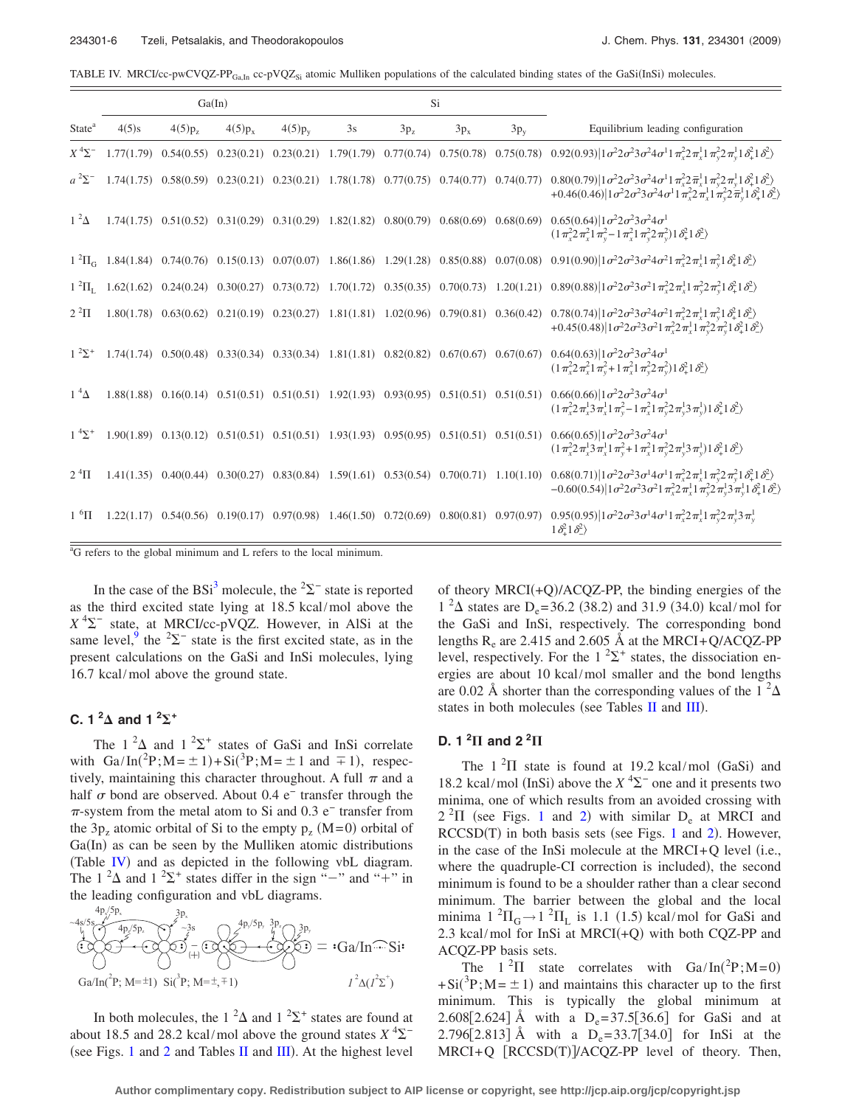<span id="page-5-0"></span>TABLE IV. MRCI/cc-pwCVQZ-PP $_{GaIn}$  cc-pVQZ<sub>Si</sub> atomic Mulliken populations of the calculated binding states of the GaSi(InSi) molecules.

|                                          |            |             | Ga(In)    |                                                                                                         |    |                 | Si     |        |                                                                                                                                                                                                                                                                                                                                                                                                 |
|------------------------------------------|------------|-------------|-----------|---------------------------------------------------------------------------------------------------------|----|-----------------|--------|--------|-------------------------------------------------------------------------------------------------------------------------------------------------------------------------------------------------------------------------------------------------------------------------------------------------------------------------------------------------------------------------------------------------|
| State <sup>a</sup>                       | $4(5)$ s   | $4(5)p_{7}$ | $4(5)p_x$ | $4(5)p_{y}$                                                                                             | 3s | 3p <sub>z</sub> | $3p_x$ | $3p_y$ | Equilibrium leading configuration                                                                                                                                                                                                                                                                                                                                                               |
| $X^4\Sigma^-$                            | 1.77(1.79) |             |           |                                                                                                         |    |                 |        |        | $0.54(0.55) \quad 0.23(0.21) \quad 0.23(0.21) \quad 1.79(1.79) \quad 0.77(0.74) \quad 0.75(0.78) \quad 0.75(0.78) \quad 0.92(0.93) \left[ 1 \sigma^2 2 \sigma^2 3 \sigma^2 4 \sigma^1 1 \pi_x^2 2 \pi_x^1 1 \pi_y^2 2 \pi_y^1 3 \sigma_x^2 1 \sigma_x^2 1 \right]$                                                                                                                              |
| $a^2\Sigma^-$                            |            |             |           |                                                                                                         |    |                 |        |        | $1.74(1.75) \quad 0.58(0.59) \quad 0.23(0.21) \quad 0.23(0.21) \quad 1.78(1.78) \quad 0.77(0.75) \quad 0.74(0.77) \quad 0.74(0.77) \quad 0.80(0.79) \left[ 1 \sigma^2 2 \sigma^2 3 \sigma^2 4 \sigma^1 1 \pi_x^2 2 \pi_x^1 1 \pi_y^2 2 \pi_y^1 1 \delta_x^2 1 \right]$<br>+0.46(0.46)  $1\sigma^2 2\sigma^2 3\sigma^2 4\sigma^1 1\pi^2 \sqrt{2\pi^1} 1\pi^2 \sqrt{2\pi^1} 1\delta^2 + \delta^2$ |
| $1^2\Delta$                              |            |             |           | $1.74(1.75)$ $0.51(0.52)$ $0.31(0.29)$ $0.31(0.29)$ $1.82(1.82)$ $0.80(0.79)$ $0.68(0.69)$ $0.68(0.69)$ |    |                 |        |        | $0.65(0.64) 1\sigma^22\sigma^23\sigma^24\sigma^1$<br>$(1 \pi_x^2 2 \pi_x^2 1 \pi_y^2 - 1 \pi_x^2 1 \pi_y^2 2 \pi_y^2) 1 \delta_+^2 1 \delta_-^2$                                                                                                                                                                                                                                                |
|                                          |            |             |           | $1^{2} \Pi_{G}$ 1.84(1.84) 0.74(0.76) 0.15(0.13) 0.07(0.07) 1.86(1.86) 1.29(1.28) 0.85(0.88) 0.07(0.08) |    |                 |        |        | $0.91(0.90)$   $1\sigma^2 2\sigma^2 3\sigma^2 4\sigma^2 1\pi_x^2 2\pi_x^1 1\pi_y^2 1\delta_x^2 1\delta_z^2$                                                                                                                                                                                                                                                                                     |
| $1 \, {}^2\Pi_{\scriptscriptstyle\rm I}$ |            |             |           |                                                                                                         |    |                 |        |        | 1.62(1.62) 0.24(0.24) 0.30(0.27) 0.73(0.72) 1.70(1.72) 0.35(0.35) 0.70(0.73) 1.20(1.21) 0.89(0.88) $1\sigma^2 2\sigma^2 3\sigma^2 1\pi_x^2 2\pi_x^1 1\pi_y^2 2\pi_y^2 1\delta_1^2 1\delta_2^2$                                                                                                                                                                                                  |
| $2^2\Pi$                                 | 1.80(1.78) |             |           |                                                                                                         |    |                 |        |        | $0.63(0.62)$ $0.21(0.19)$ $0.23(0.27)$ $1.81(1.81)$ $1.02(0.96)$ $0.79(0.81)$ $0.36(0.42)$ $0.78(0.74) 1\sigma^22\sigma^23\sigma^24\sigma^21\pi_x^22\pi_x^11\pi_x^21\delta_x^21\delta_x^2$<br>+0.45(0.48)  $1\sigma^2 2\sigma^2 3\sigma^2 1\pi_x^2 2\pi_x^1 1\pi_y^2 2\pi_y^2 1\delta_{\perp}^2 1\delta_{\perp}^2$                                                                              |
| $1^{2}\Sigma^{+}$                        |            |             |           | $1.74(1.74)$ $0.50(0.48)$ $0.33(0.34)$ $0.33(0.34)$ $1.81(1.81)$ $0.82(0.82)$ $0.67(0.67)$ $0.67(0.67)$ |    |                 |        |        | $0.64(0.63) 1\sigma^22\sigma^23\sigma^24\sigma^1$<br>$(1\pi_x^2 2\pi_x^2 1\pi_y^2 + 1\pi_x^2 1\pi_y^2 2\pi_y^2) 1\delta_x^2 1\delta_y^2$                                                                                                                                                                                                                                                        |
| $1^4\Delta$                              |            |             |           | $1.88(1.88)$ $0.16(0.14)$ $0.51(0.51)$ $0.51(0.51)$ $1.92(1.93)$ $0.93(0.95)$ $0.51(0.51)$ $0.51(0.51)$ |    |                 |        |        | $0.66(0.66)$   $1\sigma^2 2\sigma^2 3\sigma^2 4\sigma^1$<br>$(1\pi_x^2 2\pi_x^1 3\pi_x^1 1\pi_v^2 - 1\pi_x^2 1\pi_v^2 2\pi_v^1 3\pi_v^1) 1\delta_+^2 1\delta_-^2)$                                                                                                                                                                                                                              |
| $1^{4}\Sigma^{+}$                        |            |             |           | $1.90(1.89)$ $0.13(0.12)$ $0.51(0.51)$ $0.51(0.51)$ $1.93(1.93)$ $0.95(0.95)$ $0.51(0.51)$ $0.51(0.51)$ |    |                 |        |        | $0.66(0.65)$   $1\sigma^2 2\sigma^2 3\sigma^2 4\sigma^1$<br>$(1\pi_x^2 2\pi_x^1 3\pi_x^1 1\pi_y^2 + 1\pi_x^2 1\pi_y^2 2\pi_y^1 3\pi_y^1) 1\delta_+^2 1\delta_-^2$                                                                                                                                                                                                                               |
| $2\,{}^{4}\Pi$                           |            |             |           | $1.41(1.35)$ $0.40(0.44)$ $0.30(0.27)$ $0.83(0.84)$ $1.59(1.61)$ $0.53(0.54)$ $0.70(0.71)$ $1.10(1.10)$ |    |                 |        |        | $0.68(0.71)$ $1\sigma^2$ $2\sigma^2$ $3\sigma^1$ $4\sigma^1$ $1\pi^2$ $2\pi^1$ $1\pi^2$ $2\pi^2$ $1\delta^2$ $1\delta^2$<br>$-0.60(0.54) 1\sigma^22\sigma^23\sigma^21\pi_x^22\pi_x^11\pi_y^22\pi_y^13\pi_y^11\delta_{\perp}^21\delta_{\perp}^2$                                                                                                                                                 |
| $1~^6\Pi$                                |            |             |           |                                                                                                         |    |                 |        |        | 1.22(1.17) 0.54(0.56) 0.19(0.17) 0.97(0.98) 1.46(1.50) 0.72(0.69) 0.80(0.81) 0.97(0.97) 0.95(0.95) $1\sigma^2 2\sigma^2 3\sigma^1 4\sigma^1 1\pi_x^2 2\pi_x^1 1\pi_y^2 2\pi_y^1 3\pi_y^1 1\sigma_y^2 2\pi_z^2 1\sigma_y^2 3\sigma^1 1\sigma_z^2 1\sigma_z^2 1\sigma_z^2 1\sigma_z^2 1\sigma_z^2 $<br>$1\delta_{+}^{2}1\delta_{-}^{2}$                                                           |

<sup>a</sup>G refers to the global minimum and L refers to the local minimum.

In the case of the BSi<sup>3</sup> molecule, the <sup>2</sup> $\Sigma$ <sup>-</sup> state is reported as the third excited state lying at 18.5 kcal/mol above the  $X^{4}\Sigma^{-}$  state, at MRCI/cc-pVQZ. However, in AlSi at the same level,<sup>9</sup> the <sup>2</sup> $\Sigma$ <sup>-</sup> state is the first excited state, as in the present calculations on the GaSi and InSi molecules, lying 16.7 kcal/mol above the ground state.

## $C. 1^2\Delta$  and  $1^2\Sigma^+$

The  $1^2\Delta$  and  $1^2\Sigma^+$  states of GaSi and InSi correlate with  $Ga/In(^{2}P; M = \pm 1) + Si(^{3}P; M = \pm 1$  and  $\mp 1)$ , respectively, maintaining this character throughout. A full  $\pi$  and a half  $\sigma$  bond are observed. About 0.4 e<sup>−</sup> transfer through the  $\pi$ -system from the metal atom to Si and 0.3 e<sup>−</sup> transfer from the  $3p_z$  atomic orbital of Si to the empty  $p_z$  (M=0) orbital of Ga(In) as can be seen by the Mulliken atomic distributions (Table [IV](#page-5-0)) and as depicted in the following vbL diagram. The  $1^2\Delta$  and  $1^2\Sigma^+$  states differ in the sign "-" and "+" in the leading configuration and vbL diagrams.

 $Ga/In$ <sup> $\bigcirc$ </sup>Si  $Ga/In(^{2}P; M=\pm 1)$   $Si(^{3}P; M=\pm, \mp 1)$  $( + )$  $I^2\Delta(I^2\Sigma^+)$  $-4s/5s$   $4p\sqrt{5p^2}$  $4p_x/5p_x$  $4p_y/5p_y 3p_z$  $3p_x$  $\sim$ 3s  $\bigcap$   $\mathcal{Z}^{\mathbf{p}_y \rightarrow \mathbf{p}_y}$   $\mathcal{Z}^{\mathbf{p}_z}$   $\bigcap$  3p<sub>y</sub>

In both molecules, the 1<sup>2</sup> $\Delta$  and 1<sup>2</sup> $\Sigma$ <sup>+</sup> states are found at about 18.5 and 28.2 kcal/mol above the ground states  $X^4\Sigma^-$ (see Figs. [1](#page-3-0) and [2](#page-3-1) and Tables [II](#page-2-0) and  $III$ ). At the highest level

of theory  $MRCI(+Q)/ACQZ-PP$ , the binding energies of the  $1^{2}\Delta$  states are D<sub>e</sub>=36.2 (38.2) and 31.9 (34.0) kcal/mol for the GaSi and InSi, respectively. The corresponding bond lengths  $R_e$  are 2.415 and 2.605 Å at the MRCI+Q/ACQZ-PP level, respectively. For the  $1^2\Sigma^+$  states, the dissociation energies are about 10 kcal/mol smaller and the bond lengths are 0.02 Å shorter than the corresponding values of the 1  $^{2}\Delta$ states in both molecules (see Tables [II](#page-2-0) and [III](#page-4-0)).

## **D.** 1<sup>2</sup> $\Pi$  and 2<sup>2</sup> $\Pi$

The  $1<sup>2</sup>\Pi$  state is found at 19.2 kcal/mol (GaSi) and 18.2 kcal/mol (InSi) above the  $X<sup>4</sup>\Sigma^{-}$  one and it presents two minima, one of which results from an avoided crossing with  $2<sup>2</sup>\Pi$  $2<sup>2</sup>\Pi$  (see Figs. [1](#page-3-0) and 2) with similar  $D_e$  at MRCI and  $RCCSD(T)$  in both basis sets (see Figs. [1](#page-3-0) and [2](#page-3-1)). However, in the case of the InSi molecule at the MRCI+Q level (i.e., where the quadruple-CI correction is included), the second minimum is found to be a shoulder rather than a clear second minimum. The barrier between the global and the local minima  $1^2\Pi_G \rightarrow 1^2\Pi_L$  is 1.1 (1.5) kcal/mol for GaSi and 2.3 kcal/mol for InSi at MRCI $(+Q)$  with both CQZ-PP and ACQZ-PP basis sets.

The  $1^2\Pi$  state correlates with  $Ga/In(^2P; M=0)$  $+Si(^{3}P; M = \pm 1)$  and maintains this character up to the first minimum. This is typically the global minimum at 2.608[2.624] Å with a  $D_e = 37.5[36.6]$  for GaSi and at 2.796[2.813] Å with a  $D_e = 33.7[34.0]$  for InSi at the MRCI+Q [RCCSD(T)]/ACQZ-PP level of theory. Then,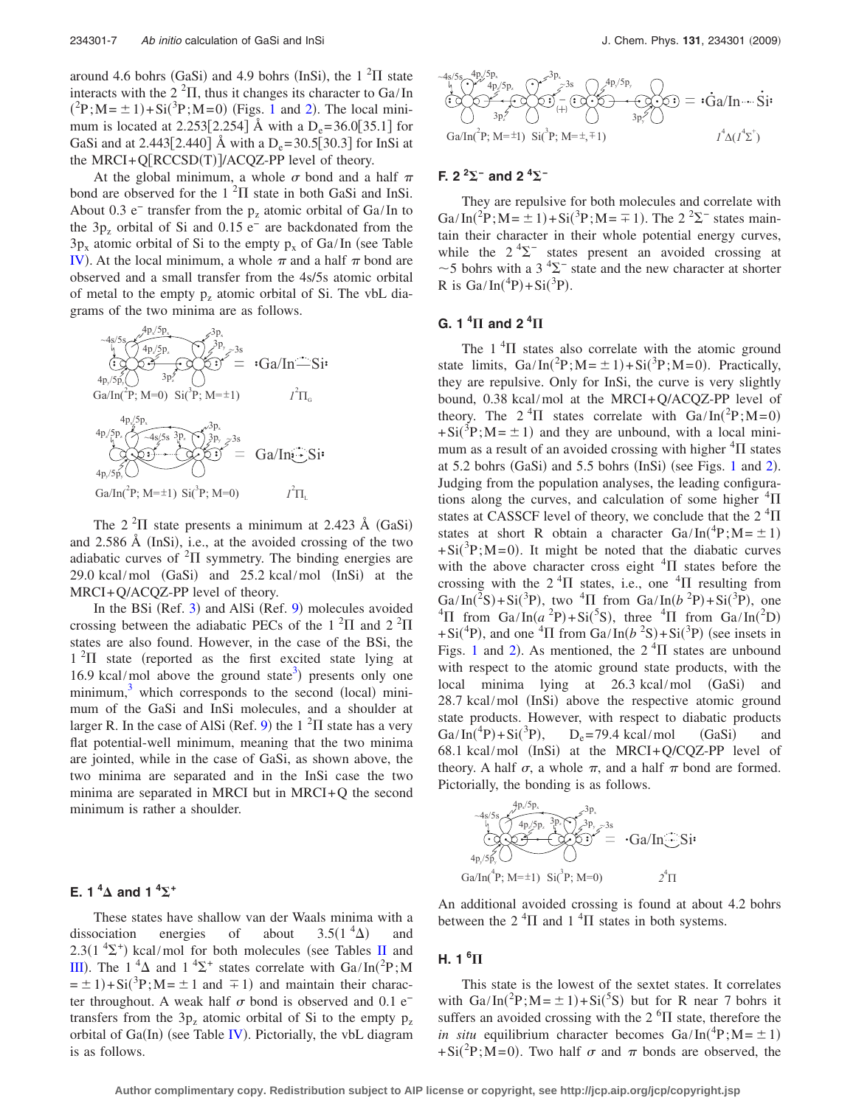around 4.6 bohrs (GaSi) and 4.9 bohrs (InSi), the  $1^2\Pi$  state interacts with the  $2<sup>2</sup>$ II, thus it changes its character to Ga/In  $({}^{2}P; M = \pm 1) + Si({}^{3}P; M = 0)$  $({}^{2}P; M = \pm 1) + Si({}^{3}P; M = 0)$  $({}^{2}P; M = \pm 1) + Si({}^{3}P; M = 0)$  (Figs. 1 and [2](#page-3-1)). The local minimum is located at 2.253[2.254] Å with a  $D_e = 36.0[35.1]$  for GaSi and at 2.443[2.440] Å with a  $D_e = 30.5[30.3]$  for InSi at the MRCI+Q[RCCSD(T)]/ACQZ-PP level of theory.

At the global minimum, a whole  $\sigma$  bond and a half  $\pi$ bond are observed for the  $1<sup>2</sup>\Pi$  state in both GaSi and InSi. About 0.3 e<sup>−</sup> transfer from the  $p_z$  atomic orbital of Ga/In to the  $3p<sub>z</sub>$  orbital of Si and 0.15 e<sup>−</sup> are backdonated from the  $3p_x$  atomic orbital of Si to the empty  $p_x$  of Ga/In (see Table [IV](#page-5-0)). At the local minimum, a whole  $\pi$  and a half  $\pi$  bond are observed and a small transfer from the 4s/5s atomic orbital of metal to the empty  $p_z$  atomic orbital of Si. The vbL diagrams of the two minima are as follows.



The  $2<sup>2</sup>\Pi$  state presents a minimum at 2.423 Å (GaSi) and 2.586 Å (InSi), i.e., at the avoided crossing of the two adiabatic curves of  ${}^{2}\Pi$  symmetry. The binding energies are  $29.0$  kcal/mol  $(GaSi)$  and  $25.2$  kcal/mol  $(InSi)$  at the MRCI+Q/ACQZ-PP level of theory.

In the BSi (Ref. [3](#page-8-2)) and AlSi (Ref. [9](#page-8-20)) molecules avoided crossing between the adiabatic PECs of the  $1^2\Pi$  and  $2^2\Pi$ states are also found. However, in the case of the BSi, the  $1<sup>2</sup>\Pi$  state (reported as the first excited state lying at 16.9 kcal/mol above the ground state<sup>3</sup>) presents only one minimum, $3$  which corresponds to the second (local) minimum of the GaSi and InSi molecules, and a shoulder at larger R. In the case of AlSi (Ref. [9](#page-8-20)) the  $1^2\Pi$  state has a very flat potential-well minimum, meaning that the two minima are jointed, while in the case of GaSi, as shown above, the two minima are separated and in the InSi case the two minima are separated in MRCI but in MRCI+Q the second minimum is rather a shoulder.

## **E.** 1<sup>4</sup> $\Delta$  and 1<sup>4</sup> $\Sigma$ <sup>+</sup>

These states have shallow van der Waals minima with a dissociation energies of about  $3.5(1^{4}\Delta)$  and  $2.3(1 \text{ }^{4}\Sigma^{+})$  kcal/mol for both molecules (see Tables [II](#page-2-0) and [III](#page-4-0)). The 1<sup>4</sup> $\Delta$  and 1<sup>4</sup> $\Sigma$ <sup>+</sup> states correlate with Ga/In(<sup>2</sup>P;M  $= \pm 1$ )+Si(<sup>3</sup>P;M=  $\pm 1$  and  $\mp 1$ ) and maintain their character throughout. A weak half  $\sigma$  bond is observed and 0.1 e<sup>−</sup> transfers from the  $3p<sub>z</sub>$  atomic orbital of Si to the empty  $p<sub>z</sub>$ orbital of Ga(In) (see Table [IV](#page-5-0)). Pictorially, the vbL diagram is as follows.



## **F.** 2<sup>2</sup>∑<sup>−</sup> and 2<sup>4</sup>∑<sup>−</sup>

They are repulsive for both molecules and correlate with Ga/In(<sup>2</sup>P;M= $\pm$ 1)+Si(<sup>3</sup>P;M= $\mp$ 1). The 2<sup>2</sup> $\Sigma$ <sup>-</sup> states maintain their character in their whole potential energy curves, while the  $2 \frac{4}{2}$  states present an avoided crossing at ~5 bohrs with a 3<sup>4</sup> $\Sigma$ <sup>-</sup> state and the new character at shorter R is  $Ga/In(^{4}P) + Si(^{3}P)$ .

## $G. 1 \, {}^4\Pi$  and 2  ${}^4\Pi$

The  $1<sup>4</sup>\Pi$  states also correlate with the atomic ground state limits,  $Ga/In(^{2}P; M = \pm 1) + Si(^{3}P; M = 0)$ . Practically, they are repulsive. Only for InSi, the curve is very slightly bound, 0.38 kcal/mol at the MRCI+Q/ACQZ-PP level of theory. The  $2^{4}\Pi$  states correlate with  $Ga/In(^{2}P;M=0)$  $+Si(^{3}P; M = \pm 1)$  and they are unbound, with a local minimum as a result of an avoided crossing with higher  ${}^{4}\Pi$  states at  $5.2$  $5.2$  bohrs (GaSi) and  $5.5$  bohrs (InSi) (see Figs. [1](#page-3-0) and 2). Judging from the population analyses, the leading configurations along the curves, and calculation of some higher  ${}^{4}\Pi$ states at CASSCF level of theory, we conclude that the  $2\,{}^{4}\Pi$ states at short R obtain a character  $Ga/In(^{4}P; M = \pm 1)$  $+Si(^{3}P; M=0)$ . It might be noted that the diabatic curves with the above character cross eight  ${}^{4}\Pi$  states before the crossing with the  $2 \text{ }^4\Pi$  states, i.e., one  $\text{ }^4\Pi$  resulting from Ga/In(<sup>2</sup>S)+Si(<sup>3</sup>P), two <sup>4</sup>II from Ga/In( $b$ <sup>2</sup>P)+Si(<sup>3</sup>P), one <sup>4</sup> $\Pi$  from Ga/In(a<sup>2</sup>P)+Si(<sup>5</sup>S), three <sup>4</sup> $\Pi$  from Ga/In(<sup>2</sup>D) +Si<sup>(4</sup>P), and one <sup>4</sup> $\Pi$  from Ga/In( $b<sup>2</sup>S$ )+Si(<sup>3</sup>P) (see insets in Figs. [1](#page-3-0) and [2](#page-3-1)). As mentioned, the  $2<sup>4</sup>\Pi$  states are unbound with respect to the atomic ground state products, with the local minima lying at 26.3 kcal/mol (GaSi) and 28.7 kcal/mol (InSi) above the respective atomic ground state products. However, with respect to diabatic products Ga/In(<sup>4</sup>P) + Si(<sup>3</sup>P)  $D_e$ = 79.4 kcal/mol (GaSi) and  $68.1$  kcal/mol (InSi) at the MRCI+Q/CQZ-PP level of theory. A half  $\sigma$ , a whole  $\pi$ , and a half  $\pi$  bond are formed. Pictorially, the bonding is as follows.



An additional avoided crossing is found at about 4.2 bohrs between the  $2 \text{ }^4\Pi$  and  $1 \text{ }^4\Pi$  states in both systems.

## **H. 1 <sup>6</sup>**

This state is the lowest of the sextet states. It correlates with  $Ga/In(^{2}P; M = \pm 1) + Si(^{5}S)$  but for R near 7 bohrs it suffers an avoided crossing with the  $2<sup>6</sup>$ II state, therefore the *in situ* equilibrium character becomes  $Ga/In(^{4}P; M = \pm 1)$ +Si(<sup>2</sup>P;M=0). Two half  $\sigma$  and  $\pi$  bonds are observed, the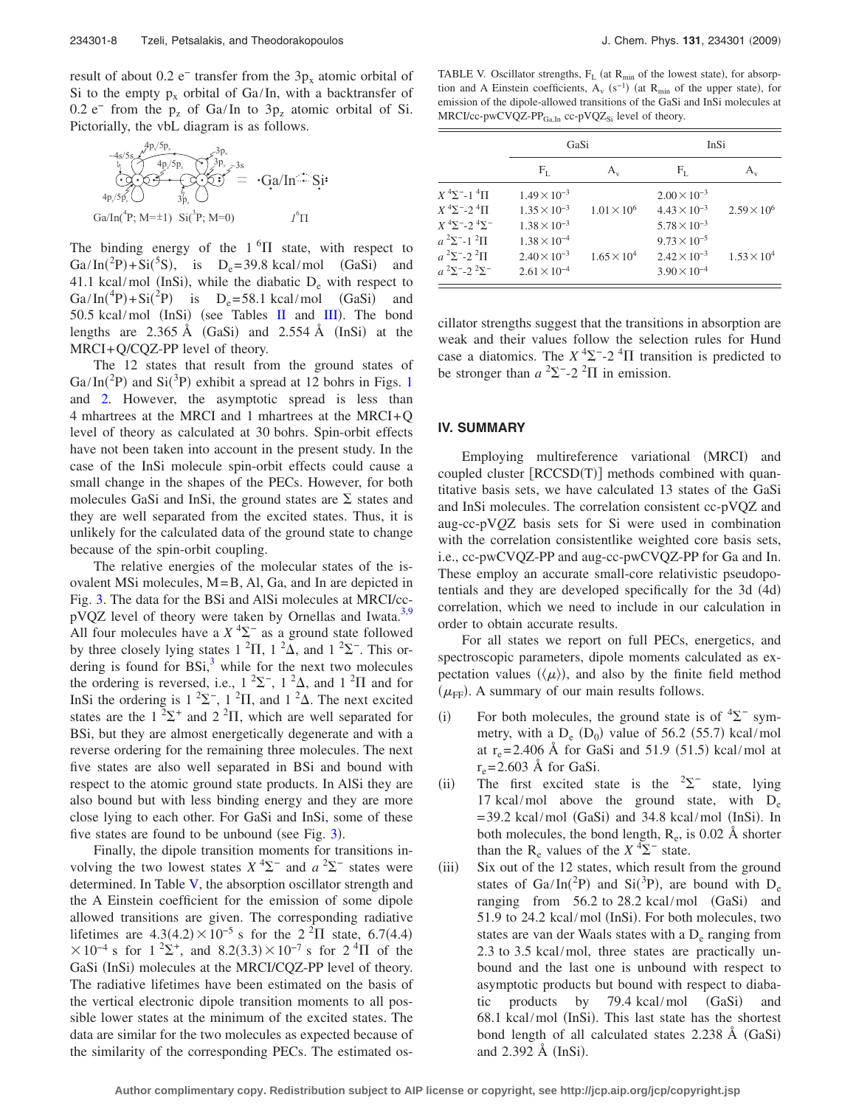result of about 0.2 e<sup>−</sup> transfer from the  $3p_x$  atomic orbital of Si to the empty  $p_x$  orbital of Ga/In, with a backtransfer of 0.2 e<sup>−</sup> from the  $p_z$  of Ga/In to  $3p_z$  atomic orbital of Si. Pictorially, the vbL diagram is as follows.

$$
\overbrace{ {}^4P_2/5P_3 \over \leftarrow Q} \overbrace{ {}^4P_2/5P_2 \over \leftarrow Q} \overbrace{ {}^3P_2 \overline{P_3} \overline{P_2} \overline{P_3} \overline{P_4} \overline{P_5} \overline{P_6} \overline{P_6} \overline{P_7} \overline{P_8} \overline{P_8} \overline{P_9} \overline{P_9} \overline{P_9} \overline{P_9} \overline{P_9} \overline{P_9} \overline{P_9} \overline{P_9} \overline{P_9} \overline{P_9} \overline{P_9} \overline{P_9} \overline{P_9} \overline{P_9} \overline{P_9} \overline{P_9} \overline{P_9} \overline{P_9} \overline{P_9} \overline{P_9} \overline{P_9} \overline{P_9} \overline{P_9} \overline{P_1} \overline{P_1} \overline{P_1} \overline{P_1} \overline{P_2} \overline{P_3} \overline{P_1} \overline{P_2} \overline{P_3} \overline{P_4} \overline{P_5} \overline{P_6} \overline{P_1} \overline{P_1} \overline{P_2} \overline{P_3} \overline{P_4} \overline{P_5} \overline{P_6} \overline{P_1} \overline{P_1} \overline{P_2} \overline{P_3} \overline{P_4} \overline{P_5} \overline{P_1} \overline{P_1} \overline{P_2} \overline{P_3} \overline{P_2} \overline{P_3} \overline{P_4} \overline{P_1} \overline{P_2} \overline{P_3} \overline{P_4} \overline{P_5} \overline{P_1} \overline{P_2} \overline{P_3} \overline{P_4} \overline{P_1} \overline{P_2} \overline{P_2} \overline{P_3} \overline{P_4} \overline{P_1} \overline{P_2} \overline{P_4} \overline{P_1} \overline{P_2} \overline{P_2} \overline{P_3} \overline{P_4} \overline{P_5} \over
$$

The binding energy of the  $1<sup>6</sup>\Pi$  state, with respect to Ga/In(<sup>2</sup>P)+Si(<sup>5</sup>S), is D<sub>e</sub>=39.8 kcal/mol (GaSi) and 41.1 kcal/mol (InSi), while the diabatic  $D_e$  with respect to Ga/In(<sup>4</sup>P) + Si(<sup>2</sup>P) is D<sub>e</sub>=58.1 kcal/mol (GaSi) and 50.5 kcal/mol (InSi) (see Tables [II](#page-2-0) and [III](#page-4-0)). The bond lengths are 2.365 Å (GaSi) and 2.554 Å (InSi) at the MRCI+Q/CQZ-PP level of theory.

The 12 states that result from the ground states of Ga/In(<sup>2</sup>P) and Si(<sup>3</sup>P) exhibit a spread at [1](#page-3-0)2 bohrs in Figs. 1 and [2.](#page-3-1) However, the asymptotic spread is less than 4 mhartrees at the MRCI and 1 mhartrees at the MRCI+Q level of theory as calculated at 30 bohrs. Spin-orbit effects have not been taken into account in the present study. In the case of the InSi molecule spin-orbit effects could cause a small change in the shapes of the PECs. However, for both molecules GaSi and InSi, the ground states are  $\Sigma$  states and they are well separated from the excited states. Thus, it is unlikely for the calculated data of the ground state to change because of the spin-orbit coupling.

The relative energies of the molecular states of the isovalent MSi molecules, M=B, Al, Ga, and In are depicted in Fig. [3.](#page-3-2) The data for the BSi and AlSi molecules at MRCI/cc-pVQZ level of theory were taken by Ornellas and Iwata.<sup>3[,9](#page-8-20)</sup> All four molecules have a  $X<sup>4</sup>\Sigma^{-}$  as a ground state followed by three closely lying states  $1^2\Pi$ ,  $1^2\Delta$ , and  $1^2\Sigma$ <sup>-</sup>. This ordering is found for  $BSi$ ,<sup>3</sup> while for the next two molecules the ordering is reversed, i.e.,  $1^2\Sigma^-, 1^2\Delta$ , and  $1^2\Pi$  and for InSi the ordering is  $1^2\Sigma^-, 1^2\Pi$ , and  $1^2\Delta$ . The next excited states are the  $1^2\Sigma^+$  and  $2^2\Pi$ , which are well separated for BSi, but they are almost energetically degenerate and with a reverse ordering for the remaining three molecules. The next five states are also well separated in BSi and bound with respect to the atomic ground state products. In AlSi they are also bound but with less binding energy and they are more close lying to each other. For GaSi and InSi, some of these five states are found to be unbound (see Fig.  $3$ ).

Finally, the dipole transition moments for transitions involving the two lowest states  $X^4\Sigma^-$  and  $a^2\Sigma^-$  states were determined. In Table [V,](#page-7-0) the absorption oscillator strength and the A Einstein coefficient for the emission of some dipole allowed transitions are given. The corresponding radiative lifetimes are  $4.3(4.2) \times 10^{-5}$  s for the  $2^{2} \Pi$  state, 6.7(4.4)  $\times 10^{-4}$  s for  $1^{2}$ , and  $8.2(3.3) \times 10^{-7}$  s for  $2^{4}$ II of the GaSi (InSi) molecules at the MRCI/CQZ-PP level of theory. The radiative lifetimes have been estimated on the basis of the vertical electronic dipole transition moments to all possible lower states at the minimum of the excited states. The data are similar for the two molecules as expected because of the similarity of the corresponding PECs. The estimated os-

<span id="page-7-0"></span>TABLE V. Oscillator strengths,  $F_L$  (at  $R_{min}$  of the lowest state), for absorption and A Einstein coefficients,  $A_v$  (s<sup>−1</sup>) (at R<sub>min</sub> of the upper state), for emission of the dipole-allowed transitions of the GaSi and InSi molecules at  $MRCI/cc-pwCVQZ-PP<sub>Ga,In</sub> cc-pVQZ<sub>Si</sub> level of theory.$ 

|                                                                              | GaSi                  |                      | InSi                  |                      |  |  |
|------------------------------------------------------------------------------|-----------------------|----------------------|-----------------------|----------------------|--|--|
|                                                                              | $F_L$                 | $A_{\rm v}$          | $F_L$                 | $A_{\rm v}$          |  |  |
| $X^4\Sigma^{-1}$ $^4\Pi$                                                     | $1.49 \times 10^{-3}$ |                      | $2.00 \times 10^{-3}$ |                      |  |  |
| $X^4\Sigma$ <sup>-</sup> -2 <sup>4</sup> $\Pi$                               | $1.35 \times 10^{-3}$ | $1.01 \times 10^{6}$ | $4.43 \times 10^{-3}$ | $2.59 \times 10^6$   |  |  |
| $X$ <sup>4</sup> $\Sigma$ <sup>-</sup> -2 <sup>4</sup> $\Sigma$ <sup>-</sup> | $1.38 \times 10^{-3}$ |                      | $5.78 \times 10^{-3}$ |                      |  |  |
| $a^{2}\Sigma^{-1}$ $^{2}\Pi$                                                 | $1.38 \times 10^{-4}$ |                      | $9.73 \times 10^{-5}$ |                      |  |  |
| $a^{2}\Sigma^{-1}2^{2}\Pi$                                                   | $2.40 \times 10^{-3}$ | $1.65 \times 10^{4}$ | $2.42 \times 10^{-3}$ | $1.53 \times 10^{4}$ |  |  |
| $a^{2}\Sigma^{-1}2^{2}\Sigma^{-}$                                            | $2.61 \times 10^{-4}$ |                      | $3.90 \times 10^{-4}$ |                      |  |  |

cillator strengths suggest that the transitions in absorption are weak and their values follow the selection rules for Hund case a diatomics. The  $X^4\Sigma^{-2}$ <sup>4</sup> $\Pi$  transition is predicted to be stronger than  $a^2\Sigma^{-2}$  -2<sup>2</sup> $\Pi$  in emission.

#### **IV. SUMMARY**

Employing multireference variational (MRCI) and coupled cluster [RCCSD(T)] methods combined with quantitative basis sets, we have calculated 13 states of the GaSi and InSi molecules. The correlation consistent cc-pVQZ and aug-cc-pV*Q*Z basis sets for Si were used in combination with the correlation consistentlike weighted core basis sets, i.e., cc-pwCVQZ-PP and aug-cc-pwCVQZ-PP for Ga and In. These employ an accurate small-core relativistic pseudopotentials and they are developed specifically for the 3d (4d) correlation, which we need to include in our calculation in order to obtain accurate results.

For all states we report on full PECs, energetics, and spectroscopic parameters, dipole moments calculated as expectation values  $({\langle \mu \rangle})$ , and also by the finite field method  $(\mu_{\text{FF}})$ . A summary of our main results follows.

- $(i)$ For both molecules, the ground state is of  ${}^{4}\Sigma^{-}$  symmetry, with a  $D_e$  ( $D_0$ ) value of 56.2 (55.7) kcal/mol at  $r_e = 2.406$  Å for GaSi and 51.9 (51.5) kcal/mol at  $r_e = 2.603$  Å for GaSi.
- $(ii)$ The first excited state is the  $2\Sigma^-$  state, lying 17 kcal/mol above the ground state, with  $D_e$  $= 39.2$  kcal/mol (GaSi) and 34.8 kcal/mol (InSi). In both molecules, the bond length,  $R_e$ , is 0.02 Å shorter than the R<sub>e</sub> values of the  $X^4\Sigma^-$  state.
- $(iii)$  Six out of the 12 states, which result from the ground states of Ga/In( ${}^{2}P$ ) and Si( ${}^{3}P$ ), are bound with D<sub>e</sub> ranging from  $56.2$  to  $28.2$  kcal/mol  $(GaSi)$  and 51.9 to 24.2 kcal/mol (InSi). For both molecules, two states are van der Waals states with a  $D_e$  ranging from 2.3 to 3.5 kcal/mol, three states are practically unbound and the last one is unbound with respect to asymptotic products but bound with respect to diabatic products by 79.4 kcal/mol (GaSi) and 68.1 kcal/mol (InSi). This last state has the shortest bond length of all calculated states 2.238 Å (GaSi) and  $2.392 \text{ Å } (\text{InSi})$ .